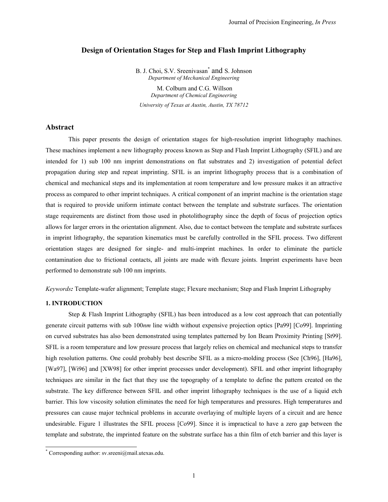# **Design of Orientation Stages for Step and Flash Imprint Lithography**

B. J. Choi, S.V. Sreenivasan\* and S. Johnson *Department of Mechanical Engineering* 

 M. Colburn and C.G. Willson *Department of Chemical Engineering University of Texas at Austin, Austin, TX 78712* 

# **Abstract**

This paper presents the design of orientation stages for high-resolution imprint lithography machines. These machines implement a new lithography process known as Step and Flash Imprint Lithography (SFIL) and are intended for 1) sub 100 nm imprint demonstrations on flat substrates and 2) investigation of potential defect propagation during step and repeat imprinting. SFIL is an imprint lithography process that is a combination of chemical and mechanical steps and its implementation at room temperature and low pressure makes it an attractive process as compared to other imprint techniques. A critical component of an imprint machine is the orientation stage that is required to provide uniform intimate contact between the template and substrate surfaces. The orientation stage requirements are distinct from those used in photolithography since the depth of focus of projection optics allows for larger errors in the orientation alignment. Also, due to contact between the template and substrate surfaces in imprint lithography, the separation kinematics must be carefully controlled in the SFIL process. Two different orientation stages are designed for single- and multi-imprint machines. In order to eliminate the particle contamination due to frictional contacts, all joints are made with flexure joints. Imprint experiments have been performed to demonstrate sub 100 nm imprints.

*Keywords:* Template-wafer alignment; Template stage; Flexure mechanism; Step and Flash Imprint Lithography

## **1. INTRODUCTION**

 $\overline{a}$ 

 Step & Flash Imprint Lithography (SFIL) has been introduced as a low cost approach that can potentially generate circuit patterns with sub 100*nm* line width without expensive projection optics [Pa99] [Co99]. Imprinting on curved substrates has also been demonstrated using templates patterned by Ion Beam Proximity Printing [St99]. SFIL is a room temperature and low pressure process that largely relies on chemical and mechanical steps to transfer high resolution patterns. One could probably best describe SFIL as a micro-molding process (See [Ch96], [Ha96], [Wa97], [Wi96] and [XW98] for other imprint processes under development). SFIL and other imprint lithography techniques are similar in the fact that they use the topography of a template to define the pattern created on the substrate. The key difference between SFIL and other imprint lithography techniques is the use of a liquid etch barrier. This low viscosity solution eliminates the need for high temperatures and pressures. High temperatures and pressures can cause major technical problems in accurate overlaying of multiple layers of a circuit and are hence undesirable. Figure 1 illustrates the SFIL process [Co99]. Since it is impractical to have a zero gap between the template and substrate, the imprinted feature on the substrate surface has a thin film of etch barrier and this layer is

<sup>\*</sup> Corresponding author: sv.sreeni@mail.utexas.edu.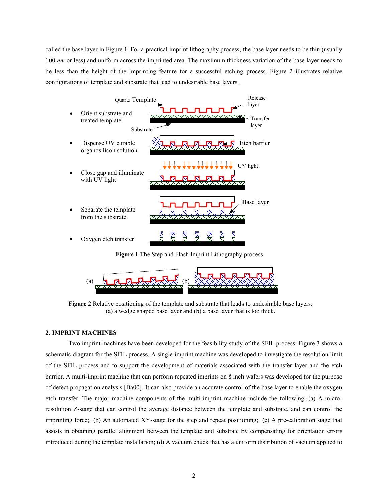called the base layer in Figure 1. For a practical imprint lithography process, the base layer needs to be thin (usually 100 *nm* or less) and uniform across the imprinted area. The maximum thickness variation of the base layer needs to be less than the height of the imprinting feature for a successful etching process. Figure 2 illustrates relative configurations of template and substrate that lead to undesirable base layers.



**Figure 1** The Step and Flash Imprint Lithography process.



**Figure 2** Relative positioning of the template and substrate that leads to undesirable base layers: (a) a wedge shaped base layer and (b) a base layer that is too thick.

## **2. IMPRINT MACHINES**

Two imprint machines have been developed for the feasibility study of the SFIL process. Figure 3 shows a schematic diagram for the SFIL process. A single-imprint machine was developed to investigate the resolution limit of the SFIL process and to support the development of materials associated with the transfer layer and the etch barrier. A multi-imprint machine that can perform repeated imprints on 8 inch wafers was developed for the purpose of defect propagation analysis [Ba00]. It can also provide an accurate control of the base layer to enable the oxygen etch transfer. The major machine components of the multi-imprint machine include the following: (a) A microresolution Z-stage that can control the average distance between the template and substrate, and can control the imprinting force; (b) An automated XY-stage for the step and repeat positioning; (c) A pre-calibration stage that assists in obtaining parallel alignment between the template and substrate by compensating for orientation errors introduced during the template installation; (d) A vacuum chuck that has a uniform distribution of vacuum applied to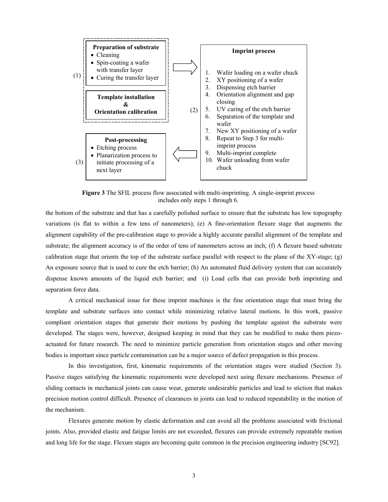

**Figure 3** The SFIL process flow associated with multi-imprinting. A single-imprint process includes only steps 1 through 6.

the bottom of the substrate and that has a carefully polished surface to ensure that the substrate has low topography variations (is flat to within a few tens of nanometers); (e) A fine-orientation flexure stage that augments the alignment capability of the pre-calibration stage to provide a highly accurate parallel alignment of the template and substrate; the alignment accuracy is of the order of tens of nanometers across an inch; (f) A flexure based substrate calibration stage that orients the top of the substrate surface parallel with respect to the plane of the XY-stage; (g) An exposure source that is used to cure the etch barrier; (h) An automated fluid delivery system that can accurately dispense known amounts of the liquid etch barrier; and (i) Load cells that can provide both imprinting and separation force data.

A critical mechanical issue for these imprint machines is the fine orientation stage that must bring the template and substrate surfaces into contact while minimizing relative lateral motions. In this work, passive compliant orientation stages that generate their motions by pushing the template against the substrate were developed. The stages were, however, designed keeping in mind that they can be modified to make them piezoactuated for future research. The need to minimize particle generation from orientation stages and other moving bodies is important since particle contamination can be a major source of defect propagation in this process.

In this investigation, first, kinematic requirements of the orientation stages were studied (Section 3). Passive stages satisfying the kinematic requirements were developed next using flexure mechanisms. Presence of sliding contacts in mechanical joints can cause wear, generate undesirable particles and lead to stiction that makes precision motion control difficult. Presence of clearances in joints can lead to reduced repeatability in the motion of the mechanism.

Flexures generate motion by elastic deformation and can avoid all the problems associated with frictional joints. Also, provided elastic and fatigue limits are not exceeded, flexures can provide extremely repeatable motion and long life for the stage. Flexure stages are becoming quite common in the precision engineering industry [SC92].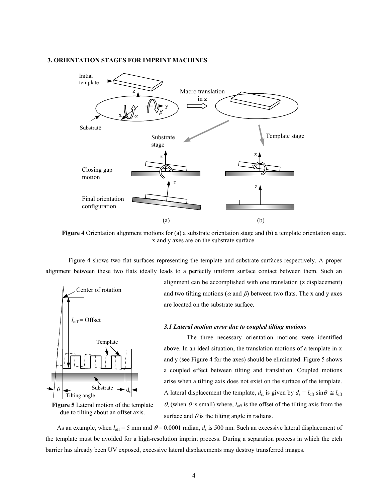#### **3. ORIENTATION STAGES FOR IMPRINT MACHINES**



**Figure 4** Orientation alignment motions for (a) a substrate orientation stage and (b) a template orientation stage. x and y axes are on the substrate surface.

Figure 4 shows two flat surfaces representing the template and substrate surfaces respectively. A proper alignment between these two flats ideally leads to a perfectly uniform surface contact between them. Such an



**Figure 5** Lateral motion of the template due to tilting about an offset axis.

alignment can be accomplished with one translation (z displacement) and two tilting motions ( $\alpha$  and  $\beta$ ) between two flats. The x and y axes are located on the substrate surface.

#### *3.1 Lateral motion error due to coupled tilting motions*

The three necessary orientation motions were identified above. In an ideal situation, the translation motions of a template in x and y (see Figure 4 for the axes) should be eliminated. Figure 5 shows a coupled effect between tilting and translation. Coupled motions arise when a tilting axis does not exist on the surface of the template. A lateral displacement the template,  $d_s$ , is given by  $d_s = l_{off} \sin \theta \approx l_{off}$  $\theta$ , (when  $\theta$  is small) where,  $l_{\text{off}}$  is the offset of the tilting axis from the surface and  $\theta$  is the tilting angle in radians.

As an example, when  $l_{off} = 5$  mm and  $\theta = 0.0001$  radian,  $d_s$  is 500 nm. Such an excessive lateral displacement of the template must be avoided for a high-resolution imprint process. During a separation process in which the etch barrier has already been UV exposed, excessive lateral displacements may destroy transferred images.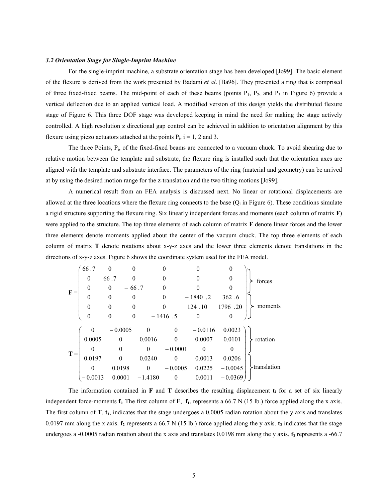#### *3.2 Orientation Stage for Single-Imprint Machine*

For the single-imprint machine, a substrate orientation stage has been developed [Jo99]. The basic element of the flexure is derived from the work presented by Badami *et al*. [Ba96]. They presented a ring that is comprised of three fixed-fixed beams. The mid-point of each of these beams (points  $P_1$ ,  $P_2$ , and  $P_3$  in Figure 6) provide a vertical deflection due to an applied vertical load. A modified version of this design yields the distributed flexure stage of Figure 6. This three DOF stage was developed keeping in mind the need for making the stage actively controlled. A high resolution z directional gap control can be achieved in addition to orientation alignment by this flexure using piezo actuators attached at the points  $P_i$ , i = 1, 2 and 3.

The three Points,  $P_i$ , of the fixed-fixed beams are connected to a vacuum chuck. To avoid shearing due to relative motion between the template and substrate, the flexure ring is installed such that the orientation axes are aligned with the template and substrate interface. The parameters of the ring (material and geometry) can be arrived at by using the desired motion range for the z-translation and the two tilting motions [Jo99].

A numerical result from an FEA analysis is discussed next. No linear or rotational displacements are allowed at the three locations where the flexure ring connects to the base  $(Q_i$  in Figure 6). These conditions simulate a rigid structure supporting the flexure ring. Six linearly independent forces and moments (each column of matrix **F**) were applied to the structure. The top three elements of each column of matrix **F** denote linear forces and the lower three elements denote moments applied about the center of the vacuum chuck. The top three elements of each column of matrix **T** denote rotations about x-y-z axes and the lower three elements denote translations in the directions of x-y-z axes. Figure 6 shows the coordinate system used for the FEA model.

|       | 66.7      | $\theta$         |              |                  |           | $\Omega$  |             |
|-------|-----------|------------------|--------------|------------------|-----------|-----------|-------------|
| $F =$ | $\theta$  | 66.7             | $\Omega$     | 0                |           | 0         | forces      |
|       | $\theta$  | $\theta$         | $-66.7$      | $\Omega$         |           | $\theta$  |             |
|       | 0         | $\theta$         | $\theta$     | $\theta$         | $-1840$ . | 362.6     |             |
|       | $\theta$  | $\theta$         | $\theta$     | $\Omega$         | 124.10    | 1796.20   | moments     |
|       | $\theta$  | $\boldsymbol{0}$ | $\theta$     | $-1416$ .5       | $\theta$  | $\theta$  |             |
| $T =$ | $\theta$  | $-0.0005$        | $\theta$     | $\theta$         | $-0.0116$ | 0.0023    |             |
|       | 0.0005    | $\theta$         | 0.0016       | $\mathbf{0}$     | 0.0007    | 0.0101    | rotation    |
|       |           | $\theta$         | $\theta$     | $-0.0001$        | $\theta$  |           |             |
|       | 0.0197    | $\theta$         | 0.0240       | $\theta$         | 0.0013    | 0.0206    |             |
|       | $\theta$  | 0.0198           | $\mathbf{0}$ | $-0.0005$        | 0.0225    | $-0.0045$ | translation |
|       | $-0.0013$ | 0.0001           | $-1.4180$    | $\boldsymbol{0}$ | 0.0011    | $-0.0369$ |             |

The information contained in  $\bf{F}$  and  $\bf{T}$  describes the resulting displacement  $\bf{t}_i$  for a set of six linearly independent force-moments  $f_i$ . The first column of  $F$ ,  $f_1$ , represents a 66.7 N (15 lb.) force applied along the x axis. The first column of T,  $t_1$ , indicates that the stage undergoes a 0.0005 radian rotation about the y axis and translates 0.0197 mm along the x axis.  $f_2$  represents a 66.7 N (15 lb.) force applied along the y axis.  $f_2$  indicates that the stage undergoes a  $-0.0005$  radian rotation about the x axis and translates  $0.0198$  mm along the y axis.  $f_3$  represents a  $-66.7$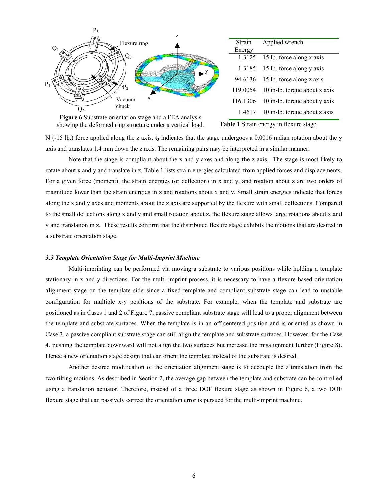

**Figure 6** Substrate orientation stage and a FEA analysis showing the deformed ring structure under a vertical load.

**Table 1** Strain energy in flexure stage.

N  $(-15 \text{ lb.})$  force applied along the z axis.  $t_3$  indicates that the stage undergoes a 0.0016 radian rotation about the y axis and translates 1.4 mm down the z axis. The remaining pairs may be interpreted in a similar manner.

Note that the stage is compliant about the x and y axes and along the z axis. The stage is most likely to rotate about x and y and translate in z. Table 1 lists strain energies calculated from applied forces and displacements. For a given force (moment), the strain energies (or deflection) in x and y, and rotation about z are two orders of magnitude lower than the strain energies in z and rotations about x and y. Small strain energies indicate that forces along the x and y axes and moments about the z axis are supported by the flexure with small deflections. Compared to the small deflections along x and y and small rotation about z, the flexure stage allows large rotations about x and y and translation in z. These results confirm that the distributed flexure stage exhibits the motions that are desired in a substrate orientation stage.

# *3.3 Template Orientation Stage for Multi-Imprint Machine*

Multi-imprinting can be performed via moving a substrate to various positions while holding a template stationary in x and y directions. For the multi-imprint process, it is necessary to have a flexure based orientation alignment stage on the template side since a fixed template and compliant substrate stage can lead to unstable configuration for multiple x-y positions of the substrate. For example, when the template and substrate are positioned as in Cases 1 and 2 of Figure 7, passive compliant substrate stage will lead to a proper alignment between the template and substrate surfaces. When the template is in an off-centered position and is oriented as shown in Case 3, a passive compliant substrate stage can still align the template and substrate surfaces. However, for the Case 4, pushing the template downward will not align the two surfaces but increase the misalignment further (Figure 8). Hence a new orientation stage design that can orient the template instead of the substrate is desired.

Another desired modification of the orientation alignment stage is to decouple the z translation from the two tilting motions. As described in Section 2, the average gap between the template and substrate can be controlled using a translation actuator. Therefore, instead of a three DOF flexure stage as shown in Figure 6, a two DOF flexure stage that can passively correct the orientation error is pursued for the multi-imprint machine.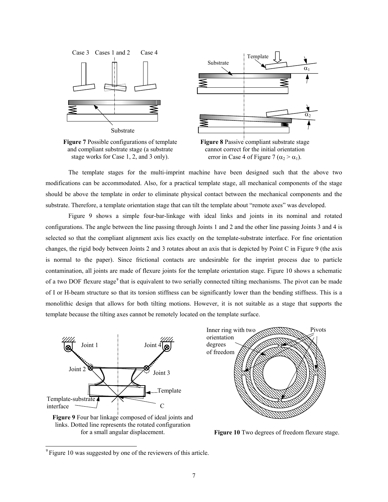

Substrate





**Figure 8** Passive compliant substrate stage cannot correct for the initial orientation error in Case 4 of Figure 7 ( $\alpha_2 > \alpha_1$ ).

 The template stages for the multi-imprint machine have been designed such that the above two modifications can be accommodated. Also, for a practical template stage, all mechanical components of the stage should be above the template in order to eliminate physical contact between the mechanical components and the substrate. Therefore, a template orientation stage that can tilt the template about "remote axes" was developed.

Figure 9 shows a simple four-bar-linkage with ideal links and joints in its nominal and rotated configurations. The angle between the line passing through Joints 1 and 2 and the other line passing Joints 3 and 4 is selected so that the compliant alignment axis lies exactly on the template-substrate interface. For fine orientation changes, the rigid body between Joints 2 and 3 rotates about an axis that is depicted by Point C in Figure 9 (the axis is normal to the paper). Since frictional contacts are undesirable for the imprint process due to particle contamination, all joints are made of flexure joints for the template orientation stage. Figure 10 shows a schematic of a two DOF flexure stage<sup>†</sup> that is equivalent to two serially connected tilting mechanisms. The pivot can be made of I or H-beam structure so that its torsion stiffness can be significantly lower than the bending stiffness. This is a monolithic design that allows for both tilting motions. However, it is not suitable as a stage that supports the template because the tilting axes cannot be remotely located on the template surface.



**Figure 9** Four bar linkage composed of ideal joints and links. Dotted line represents the rotated configuration for a small angular displacement.

 $\overline{a}$ 



**Figure 10** Two degrees of freedom flexure stage.

<sup>✞</sup> Figure 10 was suggested by one of the reviewers of this article.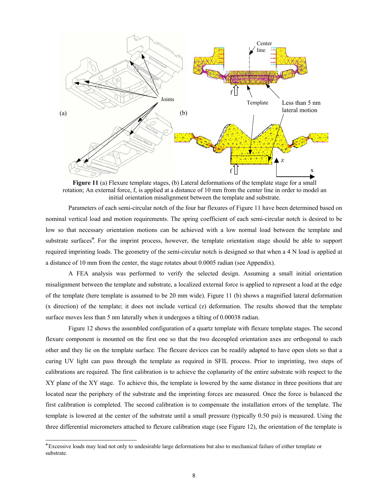

**Figure 11** (a) Flexure template stages, (b) Lateral deformations of the template stage for a small rotation; An external force, f, is applied at a distance of 10 mm from the center line in order to model an initial orientation misalignment between the template and substrate.

Parameters of each semi-circular notch of the four bar flexures of Figure 11 have been determined based on nominal vertical load and motion requirements. The spring coefficient of each semi-circular notch is desired to be low so that necessary orientation motions can be achieved with a low normal load between the template and substrate surfaces<sup>\*</sup>. For the imprint process, however, the template orientation stage should be able to support required imprinting loads. The geometry of the semi-circular notch is designed so that when a 4 N load is applied at a distance of 10 mm from the center, the stage rotates about 0.0005 radian (see Appendix).

A FEA analysis was performed to verify the selected design. Assuming a small initial orientation misalignment between the template and substrate, a localized external force is applied to represent a load at the edge of the template (here template is assumed to be 20 mm wide). Figure 11 (b) shows a magnified lateral deformation (x direction) of the template; it does not include vertical (z) deformation. The results showed that the template surface moves less than 5 nm laterally when it undergoes a tilting of 0.00038 radian.

Figure 12 shows the assembled configuration of a quartz template with flexure template stages. The second flexure component is mounted on the first one so that the two decoupled orientation axes are orthogonal to each other and they lie on the template surface. The flexure devices can be readily adapted to have open slots so that a curing UV light can pass through the template as required in SFIL process. Prior to imprinting, two steps of calibrations are required. The first calibration is to achieve the coplanarity of the entire substrate with respect to the XY plane of the XY stage. To achieve this, the template is lowered by the same distance in three positions that are located near the periphery of the substrate and the imprinting forces are measured. Once the force is balanced the first calibration is completed. The second calibration is to compensate the installation errors of the template. The template is lowered at the center of the substrate until a small pressure (typically 0.50 psi) is measured. Using the three differential micrometers attached to flexure calibration stage (see Figure 12), the orientation of the template is

 ✜ Excessive loads may lead not only to undesirable large deformations but also to mechanical failure of either template or substrate.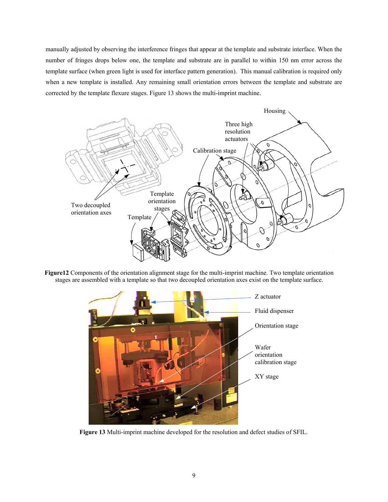manually adjusted by observing the interference fringes that appear at the template and substrate interface. When the number of fringes drops below one, the template and substrate are in parallel to within 150 nm error across the template surface (when green light is used for interface pattern generation). This manual calibration is required only when a new template is installed. Any remaining small orientation errors between the template and substrate are corrected by the template flexure stages. Figure 13 shows the multi-imprint machine.



**Figure12** Components of the orientation alignment stage for the multi-imprint machine. Two template orientation stages are assembled with a template so that two decoupled orientation axes exist on the template surface.



**Figure 13** Multi-imprint machine developed for the resolution and defect studies of SFIL.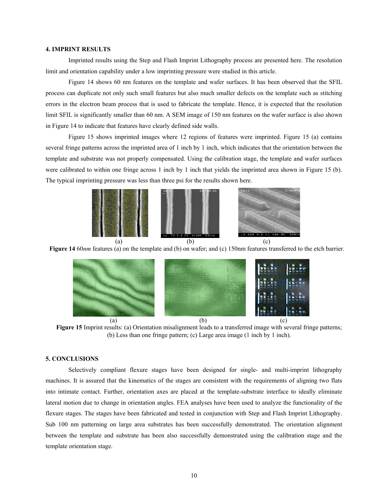#### **4. IMPRINT RESULTS**

Imprinted results using the Step and Flash Imprint Lithography process are presented here. The resolution limit and orientation capability under a low imprinting pressure were studied in this article.

Figure 14 shows 60 nm features on the template and wafer surfaces. It has been observed that the SFIL process can duplicate not only such small features but also much smaller defects on the template such as stitching errors in the electron beam process that is used to fabricate the template. Hence, it is expected that the resolution limit SFIL is significantly smaller than 60 nm. A SEM image of 150 nm features on the wafer surface is also shown in Figure 14 to indicate that features have clearly defined side walls.

Figure 15 shows imprinted images where 12 regions of features were imprinted. Figure 15 (a) contains several fringe patterns across the imprinted area of 1 inch by 1 inch, which indicates that the orientation between the template and substrate was not properly compensated. Using the calibration stage, the template and wafer surfaces were calibrated to within one fringe across 1 inch by 1 inch that yields the imprinted area shown in Figure 15 (b). The typical imprinting pressure was less than three psi for the results shown here.







**Figure 15** Imprint results: (a) Orientation misalignment leads to a transferred image with several fringe patterns; (b) Less than one fringe pattern; (c) Large area image (1 inch by 1 inch).

# **5. CONCLUSIONS**

Selectively compliant flexure stages have been designed for single- and multi-imprint lithography machines. It is assured that the kinematics of the stages are consistent with the requirements of aligning two flats into intimate contact. Further, orientation axes are placed at the template-substrate interface to ideally eliminate lateral motion due to change in orientation angles. FEA analyses have been used to analyze the functionality of the flexure stages. The stages have been fabricated and tested in conjunction with Step and Flash Imprint Lithography. Sub 100 nm patterning on large area substrates has been successfully demonstrated. The orientation alignment between the template and substrate has been also successfully demonstrated using the calibration stage and the template orientation stage.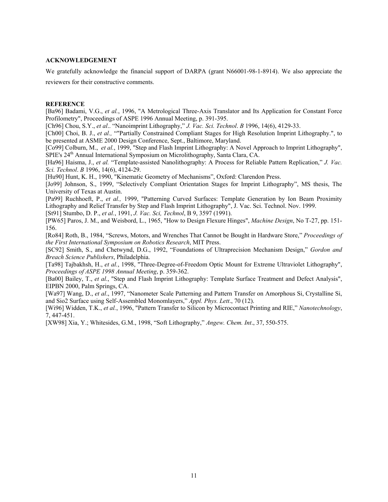## **ACKNOWLEDGEMENT**

We gratefully acknowledge the financial support of DARPA (grant N66001-98-1-8914). We also appreciate the

reviewers for their constructive comments.

## **REFERENCE**

[Ba96] Badami, V.G., et al., 1996, "A Metrological Three-Axis Translator and Its Application for Constant Force Profilometry", Proceedings of ASPE 1996 Annual Meeting, p. 391-395.

[Ch96] Chou, S.Y., *et al*.. "Nanoimprint Lithography," *J. Vac. Sci. Technol*. *B* 1996, 14(6), 4129-33.

[Ch00] Choi, B. J., *et al.,* ""Partially Constrained Compliant Stages for High Resolution Imprint Lithography.", to be presented at ASME 2000 Design Conference, Sept., Baltimore, Maryland.

[Co99] Colburn, M., *et al.*, 1999, "Step and Flash Imprint Lithography: A Novel Approach to Imprint Lithography", SPIE's 24<sup>th</sup> Annual International Symposium on Microlithography, Santa Clara, CA.

[Ha96] Haisma, J., *et al.* "Template-assisted Nanolithography: A Process for Reliable Pattern Replication," *J. Vac. Sci. Technol*. *B* 1996, 14(6), 4124-29.

[Hu90] Hunt, K. H., 1990, "Kinematic Geometry of Mechanisms", Oxford: Clarendon Press.

[Jo99] Johnson, S., 1999, "Selectively Compliant Orientation Stages for Imprint Lithography", MS thesis, The University of Texas at Austin.

[Pa99] Ruchhoeft, P., *et al.,* 1999, "Patterning Curved Surfaces: Template Generation by Ion Beam Proximity Lithography and Relief Transfer by Step and Flash Imprint Lithography", J. Vac. Sci. Technol. Nov. 1999.

[St91] Stumbo, D. P., *et al.*, 1991, *J. Vac. Sci, Technol*, B 9, 3597 (1991).

[PW65] Paros, J. M., and Weisbord, L., 1965, "How to Design Flexure Hinges", *Machine Design*, No T-27, pp. 151- 156.

[Ro84] Roth, B., 1984, "Screws, Motors, and Wrenches That Cannot be Bought in Hardware Store," *Proceedings of the First International Symposium on Robotics Research*, MIT Press.

[SC92] Smith, S., and Chetwynd, D.G., 1992, "Foundations of Ultraprecision Mechanism Design," *Gordon and Breach Science Publishers*, Philadelphia.

[Ta98] Tajbakhsh, H., *et al.*, 1998, "Three-Degree-of-Freedom Optic Mount for Extreme Ultraviolet Lithography", *Proceedings of ASPE 1998 Annual Meeting*, p. 359-362.

[Ba00] Bailey, T., *et al.*, "Step and Flash Imprint Lithography: Template Surface Treatment and Defect Analysis", EIPBN 2000, Palm Springs, CA.

[Wa97] Wang, D., *et al*., 1997, "Nanometer Scale Patterning and Pattern Transfer on Amorphous Si, Crystalline Si, and Sio2 Surface using Self-Assembled Monomlayers," *Appl. Phys. Lett*., 70 (12).

[Wi96] Widden, T.K., *et al.*, 1996, "Pattern Transfer to Silicon by Microcontact Printing and RIE," *Nanotechnology*, 7, 447-451.

[XW98] Xia, Y.; Whitesides, G.M., 1998, "Soft Lithography," *Angew. Chem. Int*., 37, 550-575.